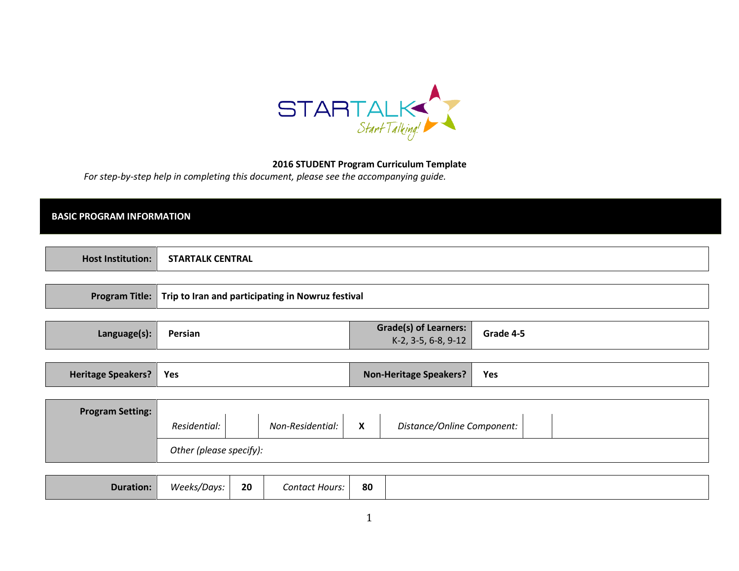

## 2016 STUDENT Program Curriculum Template

For step-by-step help in completing this document, please see the accompanying guide.

## BASIC PROGRAM INFORMATION

| <b>Host I</b><br>' CENTRAL<br><b>STARTALK</b><br>`Institution. |
|----------------------------------------------------------------|
|----------------------------------------------------------------|

| Program Title:   Trip to Iran and participating in Nowruz festival |
|--------------------------------------------------------------------|
|                                                                    |

| Grade(s) of Learners:  <br>Grade 4-5<br>Persian<br>Language(s):<br>$K-2$ , 3-5, 6-8, 9-12 |
|-------------------------------------------------------------------------------------------|
|-------------------------------------------------------------------------------------------|

| Heritage Speakers?   Yes |  | <b>Non-Heritage Speakers?</b> | Yes |
|--------------------------|--|-------------------------------|-----|
|--------------------------|--|-------------------------------|-----|

| <b>Program Setting:</b> |              |                  |                              |                            |  |  |
|-------------------------|--------------|------------------|------------------------------|----------------------------|--|--|
|                         | Residential: | Non-Residential: | $\mathbf{v}$<br>$\mathbf{v}$ | Distance/Online Component: |  |  |
| Other (please specify): |              |                  |                              |                            |  |  |

| 80<br>Contact Hours: |
|----------------------|
|----------------------|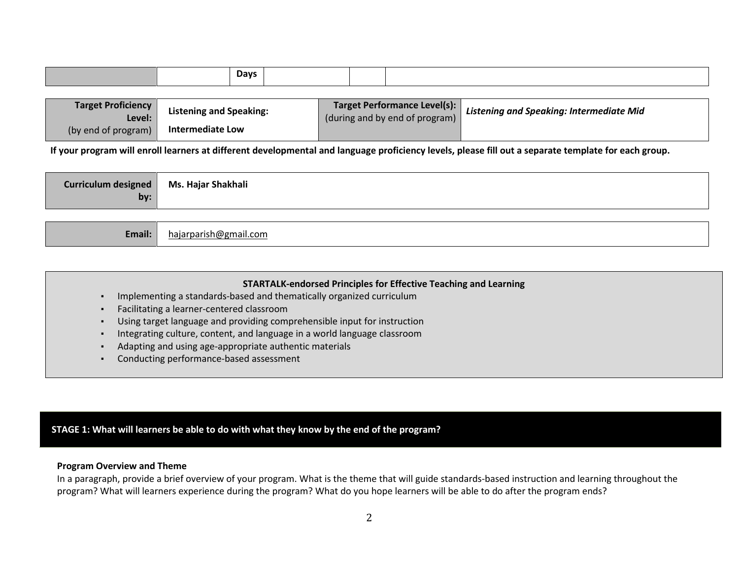|  | <b>Days</b> |  |  |
|--|-------------|--|--|
|  |             |  |  |

| <b>Target Proficiency</b><br>Level: | <b>Listening and Speaking:</b> | Target Performance Level(s):<br>(during and by end of program) | Listening and Speaking: Intermediate Mid |
|-------------------------------------|--------------------------------|----------------------------------------------------------------|------------------------------------------|
| (by end of program)                 | <b>Intermediate Low</b>        |                                                                |                                          |

If your program will enroll learners at different developmental and language proficiency levels, please fill out a separate template for each group.

| Curriculum designed | Ms. Hajar Shakhali |
|---------------------|--------------------|
| by:                 |                    |

| Email: | hajarparish@gmail.com |
|--------|-----------------------|
|--------|-----------------------|

|  | <b>STARTALK-endorsed Principles for Effective Teaching and Learning</b>  |
|--|--------------------------------------------------------------------------|
|  | Implementing a standards-based and thematically organized curriculum     |
|  | Facilitating a learner-centered classroom                                |
|  | Using target language and providing comprehensible input for instruction |
|  | Integrating culture, content, and language in a world language classroom |
|  | Adapting and using age-appropriate authentic materials                   |
|  | Conducting performance-based assessment                                  |

# STAGE 1: What will learners be able to do with what they know by the end of the program?

### Program Overview and Theme

 In a paragraph, provide a brief overview of your program. What is the theme that will guide standards-based instruction and learning throughout the program? What will learners experience during the program? What do you hope learners will be able to do after the program ends?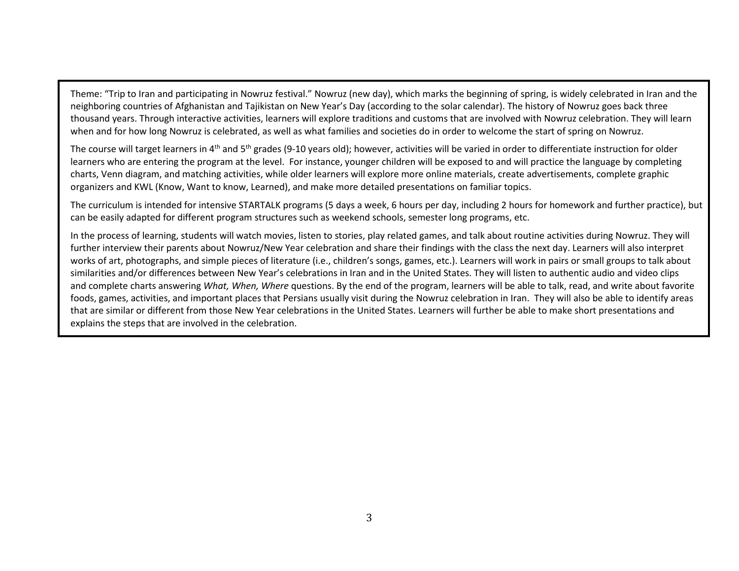Theme: "Trip to Iran and participating in Nowruz festival." Nowruz (new day), which marks the beginning of spring, is widely celebrated in Iran and the neighboring countries of Afghanistan and Tajikistan on New Year's Day (according to the solar calendar). The history of Nowruz goes back three thousand years. Through interactive activities, learners will explore traditions and customs that are involved with Nowruz celebration. They will learn when and for how long Nowruz is celebrated, as well as what families and societies do in order to welcome the start of spring on Nowruz.

The course will target learners in  $4<sup>th</sup>$  and  $5<sup>th</sup>$  grades (9-10 years old); however, activities will be varied in order to differentiate instruction for older learners who are entering the program at the level. For instance, younger children will be exposed to and will practice the language by completing charts, Venn diagram, and matching activities, while older learners will explore more online materials, create advertisements, complete graphic organizers and KWL (Know, Want to know, Learned), and make more detailed presentations on familiar topics.

The curriculum is intended for intensive STARTALK programs (5 days a week, 6 hours per day, including 2 hours for homework and further practice), but can be easily adapted for different program structures such as weekend schools, semester long programs, etc.

In the process of learning, students will watch movies, listen to stories, play related games, and talk about routine activities during Nowruz. They will further interview their parents about Nowruz/New Year celebration and share their findings with the class the next day. Learners will also interpret works of art, photographs, and simple pieces of literature (i.e., children's songs, games, etc.). Learners will work in pairs or small groups to talk about similarities and/or differences between New Year's celebrations in Iran and in the United States. They will listen to authentic audio and video clips and complete charts answering What, When, Where questions. By the end of the program, learners will be able to talk, read, and write about favorite foods, games, activities, and important places that Persians usually visit during the Nowruz celebration in Iran. They will also be able to identify areas that are similar or different from those New Year celebrations in the United States. Learners will further be able to make short presentations and explains the steps that are involved in the celebration.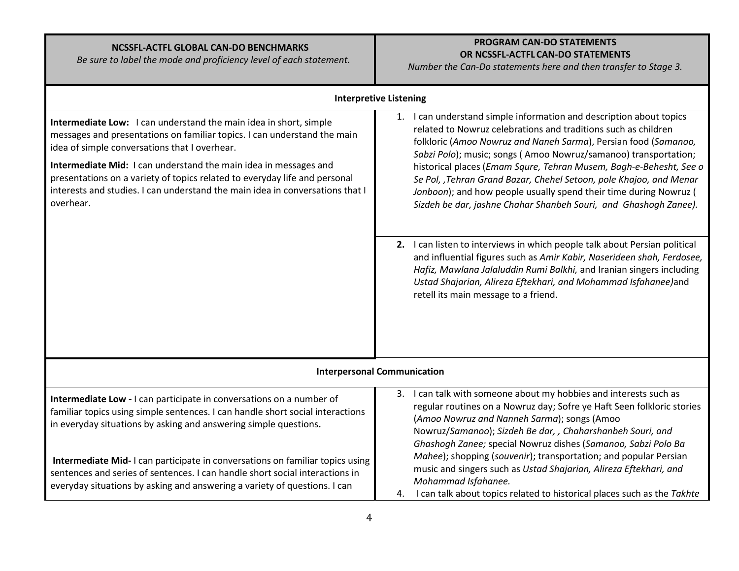# NCSSFL-ACTFL GLOBAL CAN-DO BENCHMARKS

Be sure to label the mode and proficiency level of each statement.

# PROGRAM CAN-DO STATEMENTS OR NCSSFL-ACTFL CAN-DO STATEMENTS

Number the Can-Do statements here and then transfer to Stage 3.

|                                                                                                                                                                                                                                                                                                                                                                                                                                                | <b>Interpretive Listening</b>                                                                                                                                                                                                                                                                                                                                                                                                                                                                                                                                        |
|------------------------------------------------------------------------------------------------------------------------------------------------------------------------------------------------------------------------------------------------------------------------------------------------------------------------------------------------------------------------------------------------------------------------------------------------|----------------------------------------------------------------------------------------------------------------------------------------------------------------------------------------------------------------------------------------------------------------------------------------------------------------------------------------------------------------------------------------------------------------------------------------------------------------------------------------------------------------------------------------------------------------------|
| Intermediate Low: I can understand the main idea in short, simple<br>messages and presentations on familiar topics. I can understand the main<br>idea of simple conversations that I overhear.<br>Intermediate Mid: I can understand the main idea in messages and<br>presentations on a variety of topics related to everyday life and personal<br>interests and studies. I can understand the main idea in conversations that I<br>overhear. | I can understand simple information and description about topics<br>1.<br>related to Nowruz celebrations and traditions such as children<br>folkloric (Amoo Nowruz and Naneh Sarma), Persian food (Samanoo,<br>Sabzi Polo); music; songs (Amoo Nowruz/samanoo) transportation;<br>historical places (Emam Squre, Tehran Musem, Bagh-e-Behesht, See o<br>Se Pol, , Tehran Grand Bazar, Chehel Setoon, pole Khajoo, and Menar<br>Jonboon); and how people usually spend their time during Nowruz (<br>Sizdeh be dar, jashne Chahar Shanbeh Souri, and Ghashogh Zanee). |
|                                                                                                                                                                                                                                                                                                                                                                                                                                                | 2. I can listen to interviews in which people talk about Persian political<br>and influential figures such as Amir Kabir, Naserideen shah, Ferdosee,<br>Hafiz, Mawlana Jalaluddin Rumi Balkhi, and Iranian singers including<br>Ustad Shajarian, Alireza Eftekhari, and Mohammad Isfahanee)and<br>retell its main message to a friend.                                                                                                                                                                                                                               |
|                                                                                                                                                                                                                                                                                                                                                                                                                                                | <b>Interpersonal Communication</b>                                                                                                                                                                                                                                                                                                                                                                                                                                                                                                                                   |
| Intermediate Low - I can participate in conversations on a number of<br>familiar topics using simple sentences. I can handle short social interactions<br>in everyday situations by asking and answering simple questions.                                                                                                                                                                                                                     | I can talk with someone about my hobbies and interests such as<br>3.<br>regular routines on a Nowruz day; Sofre ye Haft Seen folkloric stories<br>(Amoo Nowruz and Nanneh Sarma); songs (Amoo<br>Nowruz/Samanoo); Sizdeh Be dar, , Chaharshanbeh Souri, and<br>Ghashogh Zanee; special Nowruz dishes (Samanoo, Sabzi Polo Ba                                                                                                                                                                                                                                         |
| Intermediate Mid-I can participate in conversations on familiar topics using<br>sentences and series of sentences. I can handle short social interactions in<br>everyday situations by asking and answering a variety of questions. I can                                                                                                                                                                                                      | Mahee); shopping (souvenir); transportation; and popular Persian<br>music and singers such as Ustad Shajarian, Alireza Eftekhari, and<br>Mohammad Isfahanee.<br>I can talk about topics related to historical places such as the Takhte<br>4.                                                                                                                                                                                                                                                                                                                        |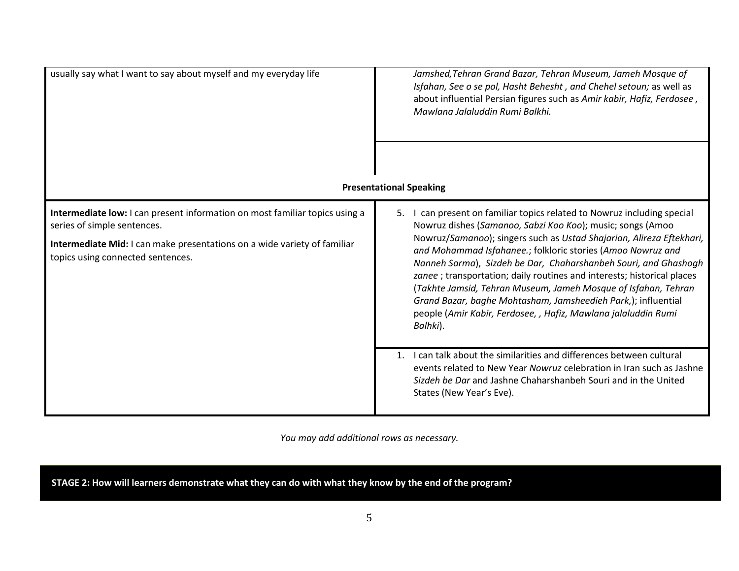| usually say what I want to say about myself and my everyday life                                                                                                                                                            | Jamshed, Tehran Grand Bazar, Tehran Museum, Jameh Mosque of<br>Isfahan, See o se pol, Hasht Behesht, and Chehel setoun; as well as<br>about influential Persian figures such as Amir kabir, Hafiz, Ferdosee,<br>Mawlana Jalaluddin Rumi Balkhi.                                                                                                                                                                                                                                                                                                                                                                                             |
|-----------------------------------------------------------------------------------------------------------------------------------------------------------------------------------------------------------------------------|---------------------------------------------------------------------------------------------------------------------------------------------------------------------------------------------------------------------------------------------------------------------------------------------------------------------------------------------------------------------------------------------------------------------------------------------------------------------------------------------------------------------------------------------------------------------------------------------------------------------------------------------|
|                                                                                                                                                                                                                             | <b>Presentational Speaking</b>                                                                                                                                                                                                                                                                                                                                                                                                                                                                                                                                                                                                              |
| Intermediate low: I can present information on most familiar topics using a<br>series of simple sentences.<br>Intermediate Mid: I can make presentations on a wide variety of familiar<br>topics using connected sentences. | 5. I can present on familiar topics related to Nowruz including special<br>Nowruz dishes (Samanoo, Sabzi Koo Koo); music; songs (Amoo<br>Nowruz/Samanoo); singers such as Ustad Shajarian, Alireza Eftekhari,<br>and Mohammad Isfahanee.; folkloric stories (Amoo Nowruz and<br>Nanneh Sarma), Sizdeh be Dar, Chaharshanbeh Souri, and Ghashogh<br>zanee ; transportation; daily routines and interests; historical places<br>(Takhte Jamsid, Tehran Museum, Jameh Mosque of Isfahan, Tehran<br>Grand Bazar, baghe Mohtasham, Jamsheedieh Park,); influential<br>people (Amir Kabir, Ferdosee, , Hafiz, Mawlana jalaluddin Rumi<br>Balhki). |
|                                                                                                                                                                                                                             | I can talk about the similarities and differences between cultural<br>1.<br>events related to New Year Nowruz celebration in Iran such as Jashne<br>Sizdeh be Dar and Jashne Chaharshanbeh Souri and in the United<br>States (New Year's Eve).                                                                                                                                                                                                                                                                                                                                                                                              |

You may add additional rows as necessary.

STAGE 2: How will learners demonstrate what they can do with what they know by the end of the program?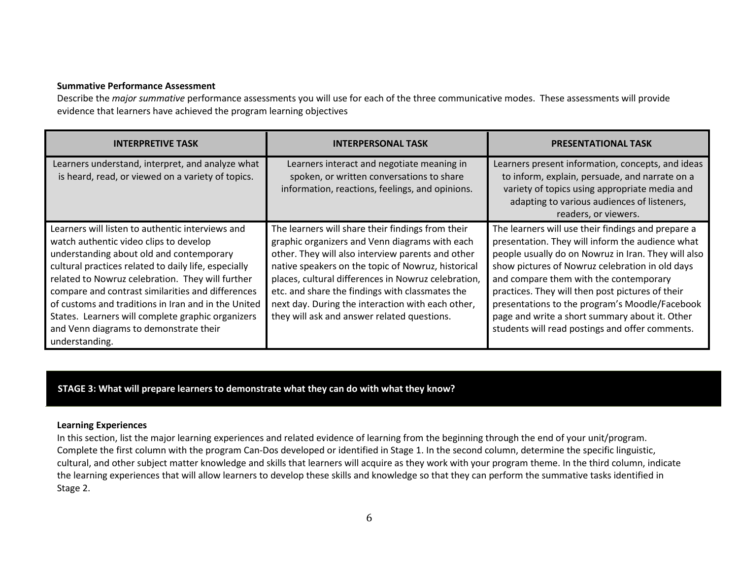#### Summative Performance Assessment

Describe the *major summative* performance assessments you will use for each of the three communicative modes. These assessments will provide evidence that learners have achieved the program learning objectives

| <b>INTERPRETIVE TASK</b>                                                                                                                                                                                                                                                                                                                                                                                                                                                        | <b>INTERPERSONAL TASK</b>                                                                                                                                                                                                                                                                                                                                                                                                    | <b>PRESENTATIONAL TASK</b>                                                                                                                                                                                                                                                                                                                                                                                                                                            |
|---------------------------------------------------------------------------------------------------------------------------------------------------------------------------------------------------------------------------------------------------------------------------------------------------------------------------------------------------------------------------------------------------------------------------------------------------------------------------------|------------------------------------------------------------------------------------------------------------------------------------------------------------------------------------------------------------------------------------------------------------------------------------------------------------------------------------------------------------------------------------------------------------------------------|-----------------------------------------------------------------------------------------------------------------------------------------------------------------------------------------------------------------------------------------------------------------------------------------------------------------------------------------------------------------------------------------------------------------------------------------------------------------------|
| Learners understand, interpret, and analyze what<br>is heard, read, or viewed on a variety of topics.                                                                                                                                                                                                                                                                                                                                                                           | Learners interact and negotiate meaning in<br>spoken, or written conversations to share<br>information, reactions, feelings, and opinions.                                                                                                                                                                                                                                                                                   | Learners present information, concepts, and ideas<br>to inform, explain, persuade, and narrate on a<br>variety of topics using appropriate media and<br>adapting to various audiences of listeners,<br>readers, or viewers.                                                                                                                                                                                                                                           |
| Learners will listen to authentic interviews and<br>watch authentic video clips to develop<br>understanding about old and contemporary<br>cultural practices related to daily life, especially<br>related to Nowruz celebration. They will further<br>compare and contrast similarities and differences<br>of customs and traditions in Iran and in the United<br>States. Learners will complete graphic organizers<br>and Venn diagrams to demonstrate their<br>understanding. | The learners will share their findings from their<br>graphic organizers and Venn diagrams with each<br>other. They will also interview parents and other<br>native speakers on the topic of Nowruz, historical<br>places, cultural differences in Nowruz celebration,<br>etc. and share the findings with classmates the<br>next day. During the interaction with each other,<br>they will ask and answer related questions. | The learners will use their findings and prepare a<br>presentation. They will inform the audience what<br>people usually do on Nowruz in Iran. They will also<br>show pictures of Nowruz celebration in old days<br>and compare them with the contemporary<br>practices. They will then post pictures of their<br>presentations to the program's Moodle/Facebook<br>page and write a short summary about it. Other<br>students will read postings and offer comments. |

STAGE 3: What will prepare learners to demonstrate what they can do with what they know?

### Learning Experiences

 In this section, list the major learning experiences and related evidence of learning from the beginning through the end of your unit/program. Complete the first column with the program Can-Dos developed or identified in Stage 1. In the second column, determine the specific linguistic, cultural, and other subject matter knowledge and skills that learners will acquire as they work with your program theme. In the third column, indicate the learning experiences that will allow learners to develop these skills and knowledge so that they can perform the summative tasks identified in Stage 2.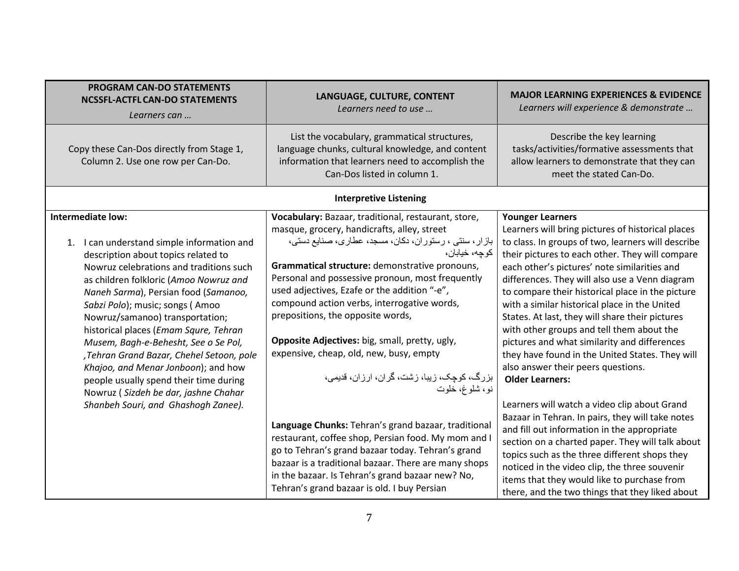| <b>PROGRAM CAN-DO STATEMENTS</b><br><b>NCSSFL-ACTFL CAN-DO STATEMENTS</b><br>Learners can                                                                                                                                                                                                                                                                                                                                                                                                                                                                        | LANGUAGE, CULTURE, CONTENT<br>Learners need to use                                                                                                                                                                                                                                                                                                                                                                                                                                                                                                                                  | <b>MAJOR LEARNING EXPERIENCES &amp; EVIDENCE</b><br>Learners will experience & demonstrate                                                                                                                                                                                                                                                                                                                                                                                                                                                                                                                                                                      |
|------------------------------------------------------------------------------------------------------------------------------------------------------------------------------------------------------------------------------------------------------------------------------------------------------------------------------------------------------------------------------------------------------------------------------------------------------------------------------------------------------------------------------------------------------------------|-------------------------------------------------------------------------------------------------------------------------------------------------------------------------------------------------------------------------------------------------------------------------------------------------------------------------------------------------------------------------------------------------------------------------------------------------------------------------------------------------------------------------------------------------------------------------------------|-----------------------------------------------------------------------------------------------------------------------------------------------------------------------------------------------------------------------------------------------------------------------------------------------------------------------------------------------------------------------------------------------------------------------------------------------------------------------------------------------------------------------------------------------------------------------------------------------------------------------------------------------------------------|
| Copy these Can-Dos directly from Stage 1,<br>Column 2. Use one row per Can-Do.                                                                                                                                                                                                                                                                                                                                                                                                                                                                                   | List the vocabulary, grammatical structures,<br>language chunks, cultural knowledge, and content<br>information that learners need to accomplish the<br>Can-Dos listed in column 1.                                                                                                                                                                                                                                                                                                                                                                                                 | Describe the key learning<br>tasks/activities/formative assessments that<br>allow learners to demonstrate that they can<br>meet the stated Can-Do.                                                                                                                                                                                                                                                                                                                                                                                                                                                                                                              |
|                                                                                                                                                                                                                                                                                                                                                                                                                                                                                                                                                                  | <b>Interpretive Listening</b>                                                                                                                                                                                                                                                                                                                                                                                                                                                                                                                                                       |                                                                                                                                                                                                                                                                                                                                                                                                                                                                                                                                                                                                                                                                 |
| Intermediate low:<br>1. I can understand simple information and<br>description about topics related to<br>Nowruz celebrations and traditions such<br>as children folkloric (Amoo Nowruz and<br>Naneh Sarma), Persian food (Samanoo,<br>Sabzi Polo); music; songs (Amoo<br>Nowruz/samanoo) transportation;<br>historical places (Emam Squre, Tehran<br>Musem, Bagh-e-Behesht, See o Se Pol,<br>, Tehran Grand Bazar, Chehel Setoon, pole<br>Khajoo, and Menar Jonboon); and how<br>people usually spend their time during<br>Nowruz (Sizdeh be dar, jashne Chahar | Vocabulary: Bazaar, traditional, restaurant, store,<br>masque, grocery, handicrafts, alley, street<br>بازار، سنتي ، رستوران، دكان، مسجد، عطاري، صنايع دستي،<br>كوجه، خيابان،<br>Grammatical structure: demonstrative pronouns,<br>Personal and possessive pronoun, most frequently<br>used adjectives, Ezafe or the addition "-e",<br>compound action verbs, interrogative words,<br>prepositions, the opposite words,<br>Opposite Adjectives: big, small, pretty, ugly,<br>expensive, cheap, old, new, busy, empty<br>بزرگ، کوچک، زیبا، زشت، گران، ارزان، قدیمی،<br>نو، شلوغ، خلوت | <b>Younger Learners</b><br>Learners will bring pictures of historical places<br>to class. In groups of two, learners will describe<br>their pictures to each other. They will compare<br>each other's pictures' note similarities and<br>differences. They will also use a Venn diagram<br>to compare their historical place in the picture<br>with a similar historical place in the United<br>States. At last, they will share their pictures<br>with other groups and tell them about the<br>pictures and what similarity and differences<br>they have found in the United States. They will<br>also answer their peers questions.<br><b>Older Learners:</b> |
| Shanbeh Souri, and Ghashogh Zanee).                                                                                                                                                                                                                                                                                                                                                                                                                                                                                                                              | Language Chunks: Tehran's grand bazaar, traditional<br>restaurant, coffee shop, Persian food. My mom and I<br>go to Tehran's grand bazaar today. Tehran's grand<br>bazaar is a traditional bazaar. There are many shops<br>in the bazaar. Is Tehran's grand bazaar new? No,<br>Tehran's grand bazaar is old. I buy Persian                                                                                                                                                                                                                                                          | Learners will watch a video clip about Grand<br>Bazaar in Tehran. In pairs, they will take notes<br>and fill out information in the appropriate<br>section on a charted paper. They will talk about<br>topics such as the three different shops they<br>noticed in the video clip, the three souvenir<br>items that they would like to purchase from<br>there, and the two things that they liked about                                                                                                                                                                                                                                                         |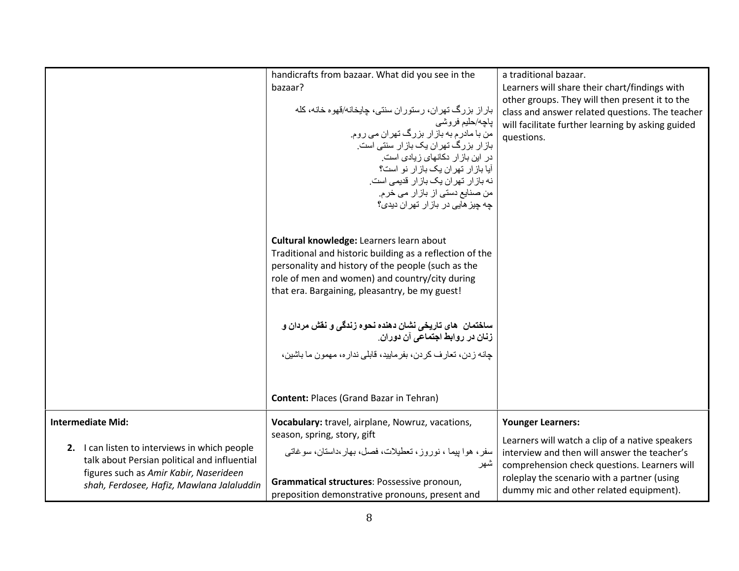|                                                                                                                                                                                      | handicrafts from bazaar. What did you see in the<br>bazaar?<br>باراز بزرگ تهران، رستوران سنتي، چايخانه/قهوه خانه، كله<br>پاچە/حليى فروشى<br>من با مادرم به باز ار بزرگ تهران می روم.<br>باز ار بزرگ تهران یک بازار سنتی است.<br>در این باز ار دکانهای زیادی است.<br>آیا باز ار تهران یک باز ار نو است؟<br>نه باز ار تهران یک باز ار قدیمی است.<br>من صنایع دستی از بازار می خرم.<br>چه چیز هایی در باز ار تهر ان دیدی؟ | a traditional bazaar.<br>Learners will share their chart/findings with<br>other groups. They will then present it to the<br>class and answer related questions. The teacher<br>will facilitate further learning by asking guided<br>questions. |
|--------------------------------------------------------------------------------------------------------------------------------------------------------------------------------------|------------------------------------------------------------------------------------------------------------------------------------------------------------------------------------------------------------------------------------------------------------------------------------------------------------------------------------------------------------------------------------------------------------------------|------------------------------------------------------------------------------------------------------------------------------------------------------------------------------------------------------------------------------------------------|
|                                                                                                                                                                                      | Cultural knowledge: Learners learn about<br>Traditional and historic building as a reflection of the<br>personality and history of the people (such as the<br>role of men and women) and country/city during<br>that era. Bargaining, pleasantry, be my guest!                                                                                                                                                         |                                                                                                                                                                                                                                                |
|                                                                                                                                                                                      | ساختمان ِ هاي تاريخي نشان دهنده نحوه زندگي و نقش مردان و<br>زنان در روابط اجتماعی آن دوران.<br>جانه ز دن، تعار ف كر دن، بفر ماييد، قابلي ندار ه، مهمون ما باشين،<br><b>Content: Places (Grand Bazar in Tehran)</b>                                                                                                                                                                                                     |                                                                                                                                                                                                                                                |
| <b>Intermediate Mid:</b>                                                                                                                                                             | Vocabulary: travel, airplane, Nowruz, vacations,                                                                                                                                                                                                                                                                                                                                                                       | <b>Younger Learners:</b>                                                                                                                                                                                                                       |
| 2. I can listen to interviews in which people<br>talk about Persian political and influential<br>figures such as Amir Kabir, Naserideen<br>shah, Ferdosee, Hafiz, Mawlana Jalaluddin | season, spring, story, gift<br>سفر ، هوا بیما ، نوروز ، تعطیلات، فصل، بهار ،داستان، سوغاتی<br>سهر<br>Grammatical structures: Possessive pronoun,<br>preposition demonstrative pronouns, present and                                                                                                                                                                                                                    | Learners will watch a clip of a native speakers<br>interview and then will answer the teacher's<br>comprehension check questions. Learners will<br>roleplay the scenario with a partner (using<br>dummy mic and other related equipment).      |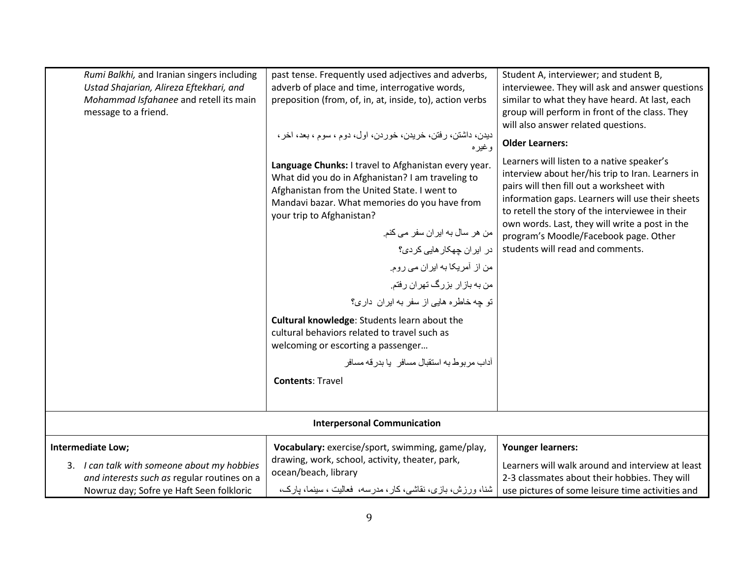| Rumi Balkhi, and Iranian singers including<br>Ustad Shajarian, Alireza Eftekhari, and<br>Mohammad Isfahanee and retell its main<br>message to a friend.     | past tense. Frequently used adjectives and adverbs,<br>adverb of place and time, interrogative words,<br>preposition (from, of, in, at, inside, to), action verbs<br>ديدن، داشتن، رفتن، خريدن، خوردن، اول، دوم ، سوم ، بعد، اخر ،<br>وغيره                                                                                                                                                                                                                                                                                                                                                                                              | Student A, interviewer; and student B,<br>interviewee. They will ask and answer questions<br>similar to what they have heard. At last, each<br>group will perform in front of the class. They<br>will also answer related questions.<br><b>Older Learners:</b>                                                                                                                     |
|-------------------------------------------------------------------------------------------------------------------------------------------------------------|-----------------------------------------------------------------------------------------------------------------------------------------------------------------------------------------------------------------------------------------------------------------------------------------------------------------------------------------------------------------------------------------------------------------------------------------------------------------------------------------------------------------------------------------------------------------------------------------------------------------------------------------|------------------------------------------------------------------------------------------------------------------------------------------------------------------------------------------------------------------------------------------------------------------------------------------------------------------------------------------------------------------------------------|
|                                                                                                                                                             | Language Chunks: I travel to Afghanistan every year.<br>What did you do in Afghanistan? I am traveling to<br>Afghanistan from the United State. I went to<br>Mandavi bazar. What memories do you have from<br>your trip to Afghanistan?<br>من هر سال به ایران سفر می کنم.<br>در ایران جهکار هایی کردی؟<br>من از آمریکا به ایران می روم.<br>من به باز ار بزرگ تهران رفتم.<br>تو چه خاطره هایی از سفر به ایران داری؟<br>Cultural knowledge: Students learn about the<br>cultural behaviors related to travel such as<br>welcoming or escorting a passenger<br>آداب مر بو ط به استقبال مسافر    یا بدر قه مسافر<br><b>Contents: Travel</b> | Learners will listen to a native speaker's<br>interview about her/his trip to Iran. Learners in<br>pairs will then fill out a worksheet with<br>information gaps. Learners will use their sheets<br>to retell the story of the interviewee in their<br>own words. Last, they will write a post in the<br>program's Moodle/Facebook page. Other<br>students will read and comments. |
| <b>Interpersonal Communication</b>                                                                                                                          |                                                                                                                                                                                                                                                                                                                                                                                                                                                                                                                                                                                                                                         |                                                                                                                                                                                                                                                                                                                                                                                    |
| Intermediate Low;<br>3. I can talk with someone about my hobbies<br>and interests such as regular routines on a<br>Nowruz day; Sofre ye Haft Seen folkloric | Vocabulary: exercise/sport, swimming, game/play,<br>drawing, work, school, activity, theater, park,<br>ocean/beach, library<br>شنا، ورزش، بازی، نقاشی، کار ، مدرسه، فعالیت ، سینما، بارک،                                                                                                                                                                                                                                                                                                                                                                                                                                               | <b>Younger learners:</b><br>Learners will walk around and interview at least<br>2-3 classmates about their hobbies. They will<br>use pictures of some leisure time activities and                                                                                                                                                                                                  |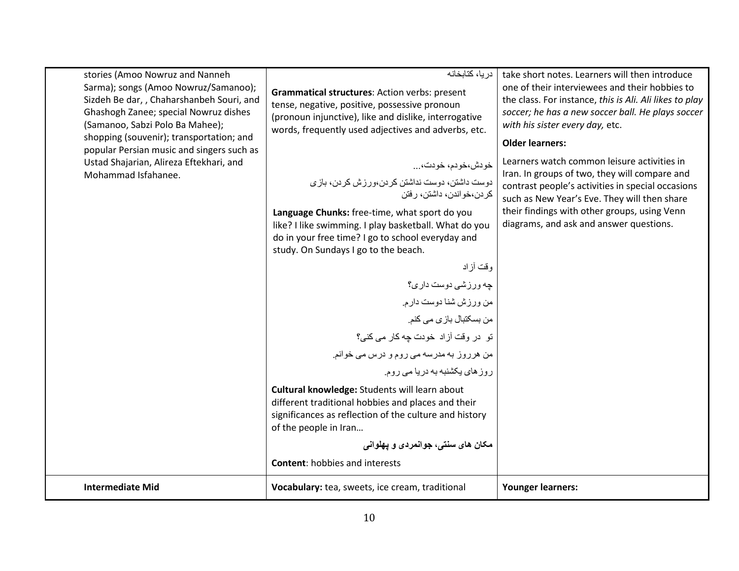| stories (Amoo Nowruz and Nanneh<br>Sarma); songs (Amoo Nowruz/Samanoo);<br>Sizdeh Be dar, , Chaharshanbeh Souri, and<br>Ghashogh Zanee; special Nowruz dishes<br>(Samanoo, Sabzi Polo Ba Mahee);<br>shopping (souvenir); transportation; and<br>popular Persian music and singers such as<br>Ustad Shajarian, Alireza Eftekhari, and<br>Mohammad Isfahanee. | دريا، كتابخانه<br>Grammatical structures: Action verbs: present<br>tense, negative, positive, possessive pronoun<br>(pronoun injunctive), like and dislike, interrogative<br>words, frequently used adjectives and adverbs, etc.<br>خودش،خودم، خودت،<br>دوست داشتن، دوست نداشتن كردن،ورزش كردن، بازى<br>كر دن،خو اندن، داشتن، ر فتن<br>Language Chunks: free-time, what sport do you<br>like? I like swimming. I play basketball. What do you<br>do in your free time? I go to school everyday and<br>study. On Sundays I go to the beach.<br>وقت أزاد<br>چه ورزشي دوست داري؟<br>من ورزش شنا دوست دارم.<br>من بسكتبال باز ي مي كنم.<br>تو در وقت آزاد خودت چه کار می کنی؟<br>من هرروز به مدرسه می روم و درس می خوانم.<br>روز های پکشنبه به دریا می روم.<br>Cultural knowledge: Students will learn about<br>different traditional hobbies and places and their<br>significances as reflection of the culture and history | take short notes. Learners will then introduce<br>one of their interviewees and their hobbies to<br>the class. For instance, this is Ali. Ali likes to play<br>soccer; he has a new soccer ball. He plays soccer<br>with his sister every day, etc.<br><b>Older learners:</b><br>Learners watch common leisure activities in<br>Iran. In groups of two, they will compare and<br>contrast people's activities in special occasions<br>such as New Year's Eve. They will then share<br>their findings with other groups, using Venn<br>diagrams, and ask and answer questions. |
|-------------------------------------------------------------------------------------------------------------------------------------------------------------------------------------------------------------------------------------------------------------------------------------------------------------------------------------------------------------|--------------------------------------------------------------------------------------------------------------------------------------------------------------------------------------------------------------------------------------------------------------------------------------------------------------------------------------------------------------------------------------------------------------------------------------------------------------------------------------------------------------------------------------------------------------------------------------------------------------------------------------------------------------------------------------------------------------------------------------------------------------------------------------------------------------------------------------------------------------------------------------------------------------------------|-------------------------------------------------------------------------------------------------------------------------------------------------------------------------------------------------------------------------------------------------------------------------------------------------------------------------------------------------------------------------------------------------------------------------------------------------------------------------------------------------------------------------------------------------------------------------------|
|                                                                                                                                                                                                                                                                                                                                                             | of the people in Iran<br>مکان های سنتی، جوانمردی و یهلوانی<br><b>Content: hobbies and interests</b>                                                                                                                                                                                                                                                                                                                                                                                                                                                                                                                                                                                                                                                                                                                                                                                                                      |                                                                                                                                                                                                                                                                                                                                                                                                                                                                                                                                                                               |
| <b>Intermediate Mid</b>                                                                                                                                                                                                                                                                                                                                     | Vocabulary: tea, sweets, ice cream, traditional                                                                                                                                                                                                                                                                                                                                                                                                                                                                                                                                                                                                                                                                                                                                                                                                                                                                          | <b>Younger learners:</b>                                                                                                                                                                                                                                                                                                                                                                                                                                                                                                                                                      |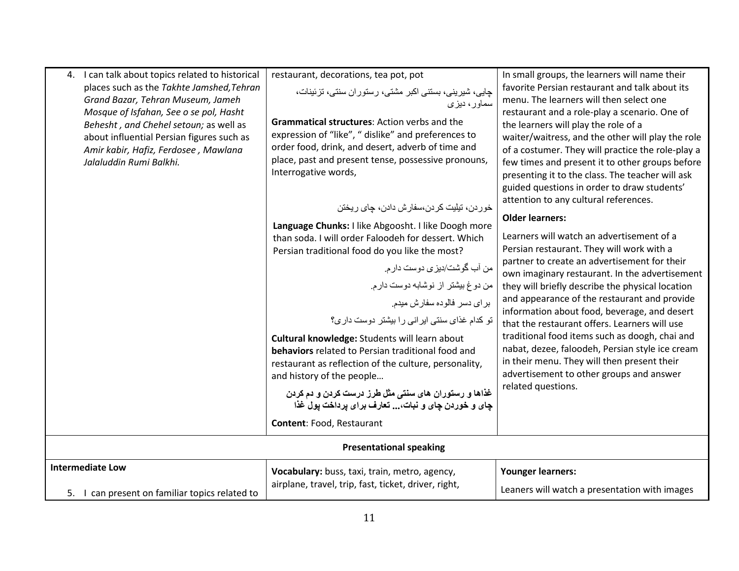| 4. I can talk about topics related to historical<br>places such as the Takhte Jamshed, Tehran<br>Grand Bazar, Tehran Museum, Jameh<br>Mosque of Isfahan, See o se pol, Hasht<br>Behesht, and Chehel setoun; as well as<br>about influential Persian figures such as<br>Amir kabir, Hafiz, Ferdosee, Mawlana<br>Jalaluddin Rumi Balkhi. | restaurant, decorations, tea pot, pot<br>جایی، شیرینی، بستنی اکبر مشتی، رستوران سنتی، تزئینات،<br>سماور، دیزی<br><b>Grammatical structures: Action verbs and the</b><br>expression of "like", " dislike" and preferences to<br>order food, drink, and desert, adverb of time and<br>place, past and present tense, possessive pronouns,<br>Interrogative words,<br>خور دن، تيليت كر دن،سفار ش دادن، جاي ريختن<br>Language Chunks: I like Abgoosht. I like Doogh more<br>than soda. I will order Faloodeh for dessert. Which<br>Persian traditional food do you like the most?<br>من أب گوشت/ديزي دوست دار م.<br>من دوغ بيشتر از نوشابه دوست دارم.<br>برای دسر فالوده سفارش میدم.<br>تو کدام غذای سنتی ایر انی را بیشتر دوست داری؟<br>Cultural knowledge: Students will learn about<br>behaviors related to Persian traditional food and<br>restaurant as reflection of the culture, personality,<br>and history of the people<br>غذاها و رستوران های سنتی مثل طرز درست کردن و دم کردن<br>چای و خوردن چای و نبات،  تعارف برای پرداخت پول غذا | In small groups, the learners will name their<br>favorite Persian restaurant and talk about its<br>menu. The learners will then select one<br>restaurant and a role-play a scenario. One of<br>the learners will play the role of a<br>waiter/waitress, and the other will play the role<br>of a costumer. They will practice the role-play a<br>few times and present it to other groups before<br>presenting it to the class. The teacher will ask<br>guided questions in order to draw students'<br>attention to any cultural references.<br><b>Older learners:</b><br>Learners will watch an advertisement of a<br>Persian restaurant. They will work with a<br>partner to create an advertisement for their<br>own imaginary restaurant. In the advertisement<br>they will briefly describe the physical location<br>and appearance of the restaurant and provide<br>information about food, beverage, and desert<br>that the restaurant offers. Learners will use<br>traditional food items such as doogh, chai and<br>nabat, dezee, faloodeh, Persian style ice cream<br>in their menu. They will then present their<br>advertisement to other groups and answer<br>related questions. |
|----------------------------------------------------------------------------------------------------------------------------------------------------------------------------------------------------------------------------------------------------------------------------------------------------------------------------------------|---------------------------------------------------------------------------------------------------------------------------------------------------------------------------------------------------------------------------------------------------------------------------------------------------------------------------------------------------------------------------------------------------------------------------------------------------------------------------------------------------------------------------------------------------------------------------------------------------------------------------------------------------------------------------------------------------------------------------------------------------------------------------------------------------------------------------------------------------------------------------------------------------------------------------------------------------------------------------------------------------------------------------------------------|-----------------------------------------------------------------------------------------------------------------------------------------------------------------------------------------------------------------------------------------------------------------------------------------------------------------------------------------------------------------------------------------------------------------------------------------------------------------------------------------------------------------------------------------------------------------------------------------------------------------------------------------------------------------------------------------------------------------------------------------------------------------------------------------------------------------------------------------------------------------------------------------------------------------------------------------------------------------------------------------------------------------------------------------------------------------------------------------------------------------------------------------------------------------------------------------------|
|                                                                                                                                                                                                                                                                                                                                        | Content: Food, Restaurant                                                                                                                                                                                                                                                                                                                                                                                                                                                                                                                                                                                                                                                                                                                                                                                                                                                                                                                                                                                                                   |                                                                                                                                                                                                                                                                                                                                                                                                                                                                                                                                                                                                                                                                                                                                                                                                                                                                                                                                                                                                                                                                                                                                                                                               |
|                                                                                                                                                                                                                                                                                                                                        | <b>Presentational speaking</b>                                                                                                                                                                                                                                                                                                                                                                                                                                                                                                                                                                                                                                                                                                                                                                                                                                                                                                                                                                                                              |                                                                                                                                                                                                                                                                                                                                                                                                                                                                                                                                                                                                                                                                                                                                                                                                                                                                                                                                                                                                                                                                                                                                                                                               |
| <b>Intermediate Low</b><br>5. I can present on familiar topics related to                                                                                                                                                                                                                                                              | Vocabulary: buss, taxi, train, metro, agency,<br>airplane, travel, trip, fast, ticket, driver, right,                                                                                                                                                                                                                                                                                                                                                                                                                                                                                                                                                                                                                                                                                                                                                                                                                                                                                                                                       | <b>Younger learners:</b><br>Leaners will watch a presentation with images                                                                                                                                                                                                                                                                                                                                                                                                                                                                                                                                                                                                                                                                                                                                                                                                                                                                                                                                                                                                                                                                                                                     |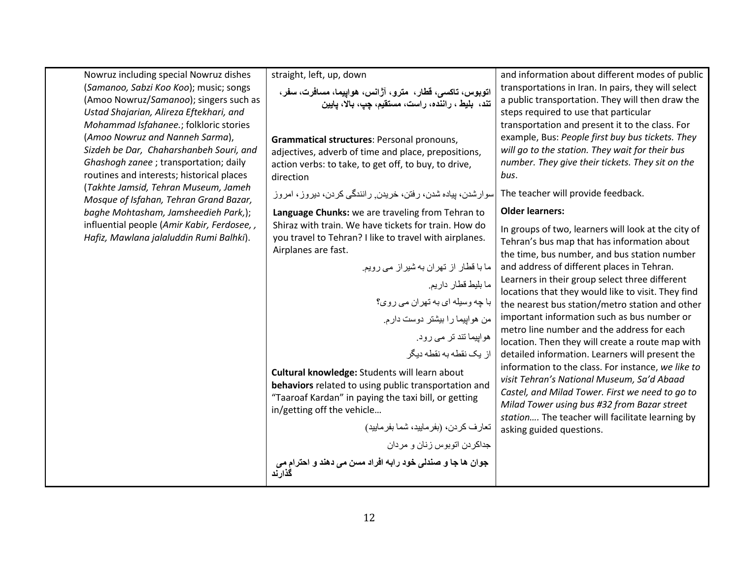| Nowruz including special Nowruz dishes                                            | straight, left, up, down                                            | and information about different modes of public                                                       |
|-----------------------------------------------------------------------------------|---------------------------------------------------------------------|-------------------------------------------------------------------------------------------------------|
| (Samanoo, Sabzi Koo Koo); music; songs                                            | اتوبوس، تاکسی، قطار،  مترو، آژانس، هواپیما، مسافرت، سفر،            | transportations in Iran. In pairs, they will select                                                   |
| (Amoo Nowruz/Samanoo); singers such as<br>Ustad Shajarian, Alireza Eftekhari, and | تند، بليط، راننده، راست، مستقيم، چپ، بالا، پايين                    | a public transportation. They will then draw the<br>steps required to use that particular             |
| Mohammad Isfahanee.; folkloric stories                                            |                                                                     | transportation and present it to the class. For                                                       |
| (Amoo Nowruz and Nanneh Sarma),                                                   | Grammatical structures: Personal pronouns,                          | example, Bus: People first buy bus tickets. They                                                      |
| Sizdeh be Dar, Chaharshanbeh Souri, and                                           | adjectives, adverb of time and place, prepositions,                 | will go to the station. They wait for their bus                                                       |
| Ghashogh zanee ; transportation; daily                                            | action verbs: to take, to get off, to buy, to drive,                | number. They give their tickets. They sit on the                                                      |
| routines and interests; historical places                                         | direction                                                           | bus.                                                                                                  |
| (Takhte Jamsid, Tehran Museum, Jameh<br>Mosque of Isfahan, Tehran Grand Bazar,    | سوارشدن، پیاده شدن، رفتن، خریدن ٍ رانندگی کردن، دیروز ، امروز       | The teacher will provide feedback.                                                                    |
| baghe Mohtasham, Jamsheedieh Park,);                                              | Language Chunks: we are traveling from Tehran to                    | <b>Older learners:</b>                                                                                |
| influential people (Amir Kabir, Ferdosee,,                                        | Shiraz with train. We have tickets for train. How do                | In groups of two, learners will look at the city of                                                   |
| Hafiz, Mawlana jalaluddin Rumi Balhki).                                           | you travel to Tehran? I like to travel with airplanes.              | Tehran's bus map that has information about                                                           |
|                                                                                   | Airplanes are fast.                                                 | the time, bus number, and bus station number                                                          |
|                                                                                   | ما با قطار از تهران به شیراز می رویم.                               | and address of different places in Tehran.                                                            |
|                                                                                   | ما بليط قطار داريم.                                                 | Learners in their group select three different                                                        |
|                                                                                   | با چه وسیله ای به تهران می روی؟                                     | locations that they would like to visit. They find<br>the nearest bus station/metro station and other |
|                                                                                   | من هواپیما را بیشتر دوست دارم                                       | important information such as bus number or                                                           |
|                                                                                   |                                                                     | metro line number and the address for each                                                            |
|                                                                                   | هواپیما تند تر می رود.                                              | location. Then they will create a route map with                                                      |
|                                                                                   | از یک نقطه به نقطه دیگر                                             | detailed information. Learners will present the                                                       |
|                                                                                   | Cultural knowledge: Students will learn about                       | information to the class. For instance, we like to                                                    |
|                                                                                   | behaviors related to using public transportation and                | visit Tehran's National Museum, Sa'd Abaad<br>Castel, and Milad Tower. First we need to go to         |
|                                                                                   | "Taaroaf Kardan" in paying the taxi bill, or getting                | Milad Tower using bus #32 from Bazar street                                                           |
|                                                                                   | in/getting off the vehicle                                          | station The teacher will facilitate learning by                                                       |
|                                                                                   | تعارف كردن، (بفرماييد، شما بفرماييد)                                | asking guided questions.                                                                              |
|                                                                                   | جداكردن اتوبوس زنان و مردان                                         |                                                                                                       |
|                                                                                   | جوان ها جا و صندلی خود رابه افراد مسن می دهند و احترام می<br>گذارند |                                                                                                       |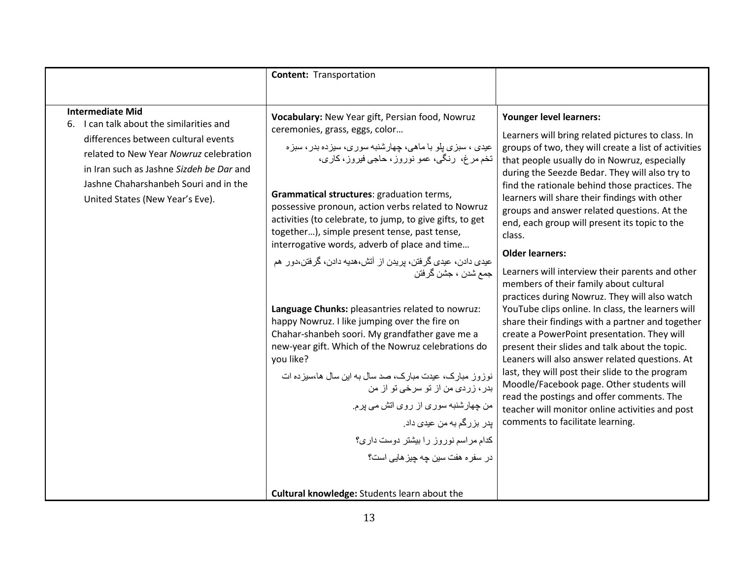| <b>Intermediate Mid</b><br>6. I can talk about the similarities and<br>differences between cultural events<br>related to New Year Nowruz celebration<br>in Iran such as Jashne Sizdeh be Dar and<br>Jashne Chaharshanbeh Souri and in the<br>United States (New Year's Eve). | Vocabulary: New Year gift, Persian food, Nowruz<br>ceremonies, grass, eggs, color<br>عیدی ، سبزی بلو با ماهی، چهارشنبه سوری، سیزده بدر ، سبزه<br>تخم مرغ، رنگي، عمو نوروز، حاجي فيروز، کاري،<br>Grammatical structures: graduation terms,<br>possessive pronoun, action verbs related to Nowruz<br>activities (to celebrate, to jump, to give gifts, to get<br>together), simple present tense, past tense,<br>interrogative words, adverb of place and time<br>عیدی دادن، عیدی گرفتن، پریدن از آتش،هدیه دادن، گرفتن،دور هم<br>جمع شدن ، جشن گرفتن<br>Language Chunks: pleasantries related to nowruz:<br>happy Nowruz. I like jumping over the fire on<br>Chahar-shanbeh soori. My grandfather gave me a<br>new-year gift. Which of the Nowruz celebrations do<br>you like?<br>نوزوز مبارک، عیدت مبارک، صد سال به این سال ها،سیز ده ات<br>بدر ، زردی من از تو سرخی تو از من<br>من چهارشنبه سوری از روی اتش می پرم.<br>پدر بزرگم به من عیدی داد <sub>.</sub><br>کدام مراسم نوروز را بیشتر دوست داری؟<br>در سفر ہ هفت سین چه چیز هایی است؟<br>Cultural knowledge: Students learn about the | Younger level learners:<br>Learners will bring related pictures to class. In<br>groups of two, they will create a list of activities<br>that people usually do in Nowruz, especially<br>during the Seezde Bedar. They will also try to<br>find the rationale behind those practices. The<br>learners will share their findings with other<br>groups and answer related questions. At the<br>end, each group will present its topic to the<br>class.<br><b>Older learners:</b><br>Learners will interview their parents and other<br>members of their family about cultural<br>practices during Nowruz. They will also watch<br>YouTube clips online. In class, the learners will<br>share their findings with a partner and together<br>create a PowerPoint presentation. They will<br>present their slides and talk about the topic.<br>Leaners will also answer related questions. At<br>last, they will post their slide to the program<br>Moodle/Facebook page. Other students will<br>read the postings and offer comments. The<br>teacher will monitor online activities and post<br>comments to facilitate learning. |
|------------------------------------------------------------------------------------------------------------------------------------------------------------------------------------------------------------------------------------------------------------------------------|-------------------------------------------------------------------------------------------------------------------------------------------------------------------------------------------------------------------------------------------------------------------------------------------------------------------------------------------------------------------------------------------------------------------------------------------------------------------------------------------------------------------------------------------------------------------------------------------------------------------------------------------------------------------------------------------------------------------------------------------------------------------------------------------------------------------------------------------------------------------------------------------------------------------------------------------------------------------------------------------------------------------------------------------------------------------------------------------|-----------------------------------------------------------------------------------------------------------------------------------------------------------------------------------------------------------------------------------------------------------------------------------------------------------------------------------------------------------------------------------------------------------------------------------------------------------------------------------------------------------------------------------------------------------------------------------------------------------------------------------------------------------------------------------------------------------------------------------------------------------------------------------------------------------------------------------------------------------------------------------------------------------------------------------------------------------------------------------------------------------------------------------------------------------------------------------------------------------------------------|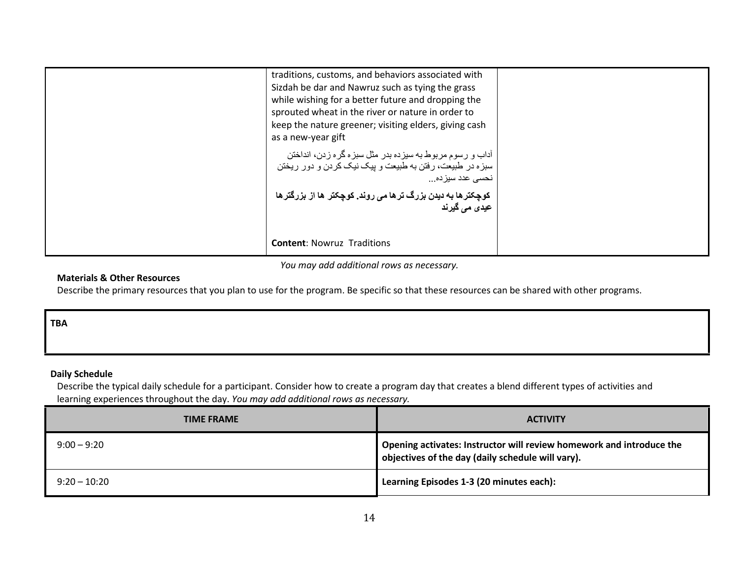| traditions, customs, and behaviors associated with<br>Sizdah be dar and Nawruz such as tying the grass<br>while wishing for a better future and dropping the<br>sprouted wheat in the river or nature in order to<br>keep the nature greener; visiting elders, giving cash<br>as a new-year gift<br>آداب و رسوم مربوط به سیزده بدر مثل سبزه گره زدن، انداختن<br>سبزه در طبیعت، رفتن به طبیعت و بیک نیک کردن و دور ریختن<br>نحسی عدد سیز ده<br>کوچکترها به دیدن بزرگ ترها می روند. کوچکتر ها از بزرگترها<br>عيدی می گيرند |  |
|--------------------------------------------------------------------------------------------------------------------------------------------------------------------------------------------------------------------------------------------------------------------------------------------------------------------------------------------------------------------------------------------------------------------------------------------------------------------------------------------------------------------------|--|
| <b>Content: Nowruz Traditions</b>                                                                                                                                                                                                                                                                                                                                                                                                                                                                                        |  |

You may add additional rows as necessary.

## Materials & Other Resources

Describe the primary resources that you plan to use for the program. Be specific so that these resources can be shared with other programs.

### TBA

## Daily Schedule

 Describe the typical daily schedule for a participant. Consider how to create a program day that creates a blend different types of activities and learning experiences throughout the day. You may add additional rows as necessary.

| <b>TIME FRAME</b> | <b>ACTIVITY</b>                                                                                                           |
|-------------------|---------------------------------------------------------------------------------------------------------------------------|
| $9:00 - 9:20$     | Opening activates: Instructor will review homework and introduce the<br>objectives of the day (daily schedule will vary). |
| $9:20 - 10:20$    | Learning Episodes 1-3 (20 minutes each):                                                                                  |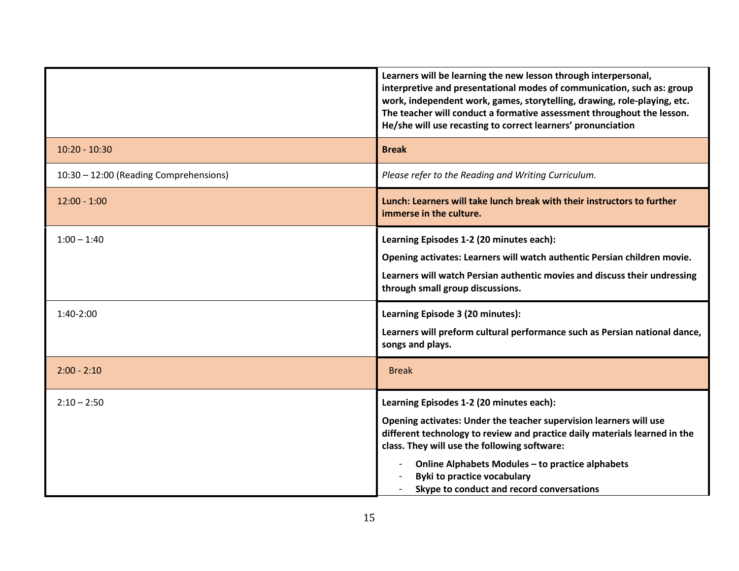|                                        | Learners will be learning the new lesson through interpersonal,<br>interpretive and presentational modes of communication, such as: group<br>work, independent work, games, storytelling, drawing, role-playing, etc.<br>The teacher will conduct a formative assessment throughout the lesson.<br>He/she will use recasting to correct learners' pronunciation                     |
|----------------------------------------|-------------------------------------------------------------------------------------------------------------------------------------------------------------------------------------------------------------------------------------------------------------------------------------------------------------------------------------------------------------------------------------|
| $10:20 - 10:30$                        | <b>Break</b>                                                                                                                                                                                                                                                                                                                                                                        |
| 10:30 - 12:00 (Reading Comprehensions) | Please refer to the Reading and Writing Curriculum.                                                                                                                                                                                                                                                                                                                                 |
| $12:00 - 1:00$                         | Lunch: Learners will take lunch break with their instructors to further<br>immerse in the culture.                                                                                                                                                                                                                                                                                  |
| $1:00 - 1:40$                          | Learning Episodes 1-2 (20 minutes each):<br>Opening activates: Learners will watch authentic Persian children movie.<br>Learners will watch Persian authentic movies and discuss their undressing<br>through small group discussions.                                                                                                                                               |
| $1:40-2:00$                            | Learning Episode 3 (20 minutes):<br>Learners will preform cultural performance such as Persian national dance,<br>songs and plays.                                                                                                                                                                                                                                                  |
| $2:00 - 2:10$                          | <b>Break</b>                                                                                                                                                                                                                                                                                                                                                                        |
| $2:10 - 2:50$                          | Learning Episodes 1-2 (20 minutes each):<br>Opening activates: Under the teacher supervision learners will use<br>different technology to review and practice daily materials learned in the<br>class. They will use the following software:<br>Online Alphabets Modules - to practice alphabets<br><b>Byki to practice vocabulary</b><br>Skype to conduct and record conversations |